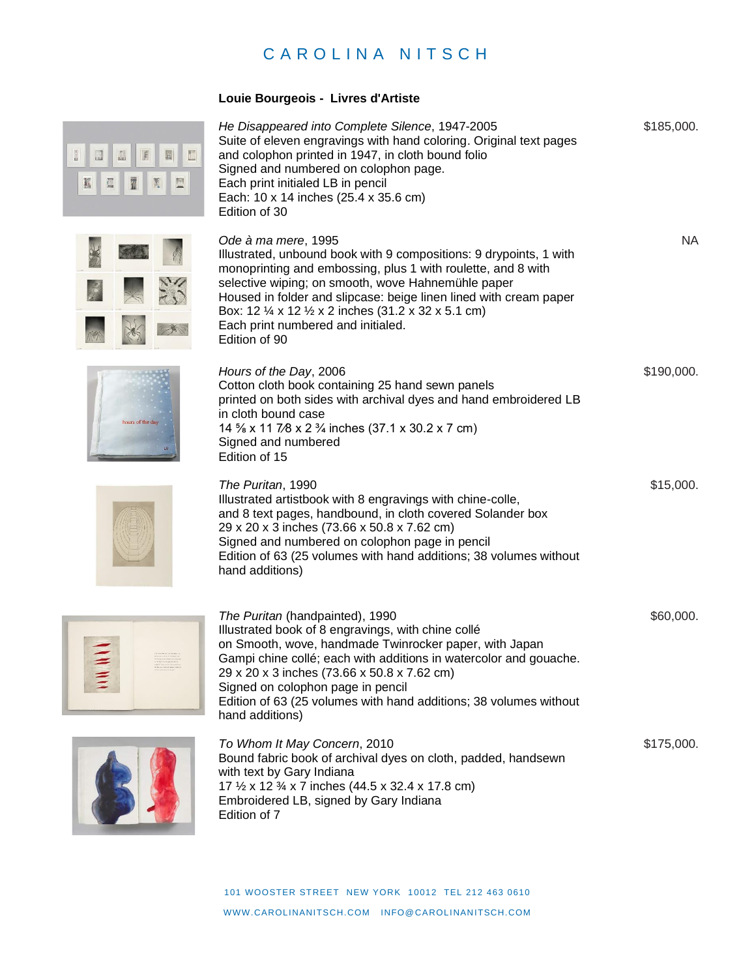## CAROLINA NITSCH

## **Louie Bourgeois - Livres d'Artiste**



| He Disappeared into Complete Silence, 1947-2005                    | \$185,000. |
|--------------------------------------------------------------------|------------|
| Suite of eleven engravings with hand coloring. Original text pages |            |
| and colophon printed in 1947, in cloth bound folio                 |            |
| Signed and numbered on colophon page.                              |            |
| Each print initialed LB in pencil                                  |            |
| Each: 10 x 14 inches (25.4 x 35.6 cm)                              |            |
| Edition of 30                                                      |            |



*Ode à ma mere*, 1995 Illustrated, unbound book with 9 compositions: 9 drypoints, 1 with monoprinting and embossing, plus 1 with roulette, and 8 with selective wiping; on smooth, wove Hahnemühle paper Housed in folder and slipcase: beige linen lined with cream paper Box: 12 ¼ x 12 ½ x 2 inches (31.2 x 32 x 5.1 cm) Each print numbered and initialed. Edition of 90

\$190,000.

\$15,000.

NA



*Hours of the Day*, 2006 Cotton cloth book containing 25 hand sewn panels printed on both sides with archival dyes and hand embroidered LB in cloth bound case 14 ⅝ x 11 7⁄8 x 2 ¾ inches (37.1 x 30.2 x 7 cm) Signed and numbered Edition of 15



*The Puritan*, 1990 Illustrated artistbook with 8 engravings with chine-colle, and 8 text pages, handbound, in cloth covered Solander box 29 x 20 x 3 inches (73.66 x 50.8 x 7.62 cm) Signed and numbered on colophon page in pencil Edition of 63 (25 volumes with hand additions; 38 volumes without hand additions)



*The Puritan* (handpainted), 1990 Illustrated book of 8 engravings, with chine collé on Smooth, wove, handmade Twinrocker paper, with Japan Gampi chine collé; each with additions in watercolor and gouache. 29 x 20 x 3 inches (73.66 x 50.8 x 7.62 cm) Signed on colophon page in pencil Edition of 63 (25 volumes with hand additions; 38 volumes without hand additions) \$60,000.



*To Whom It May Concern*, 2010 Bound fabric book of archival dyes on cloth, padded, handsewn with text by Gary Indiana 17 ½ x 12 ¾ x 7 inches (44.5 x 32.4 x 17.8 cm) Embroidered LB, signed by Gary Indiana Edition of 7 \$175,000.